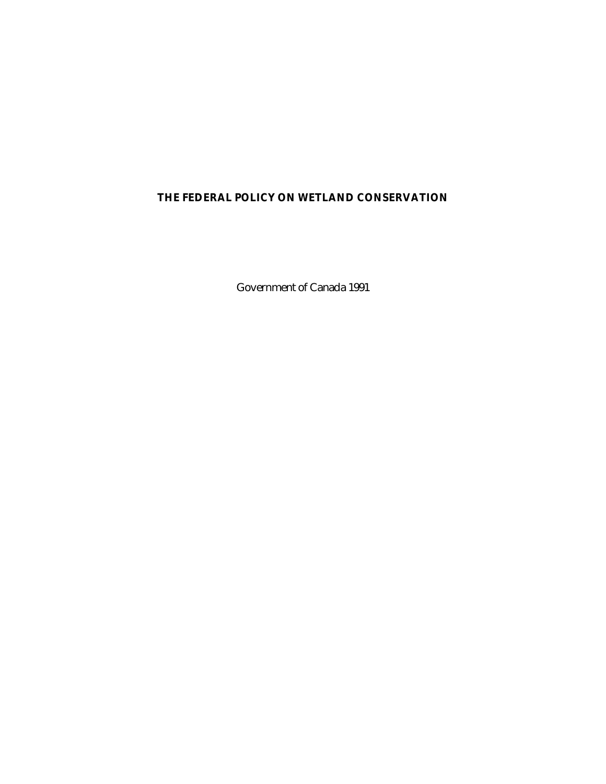# **THE FEDERAL POLICY ON WETLAND CONSERVATION**

Government of Canada 1991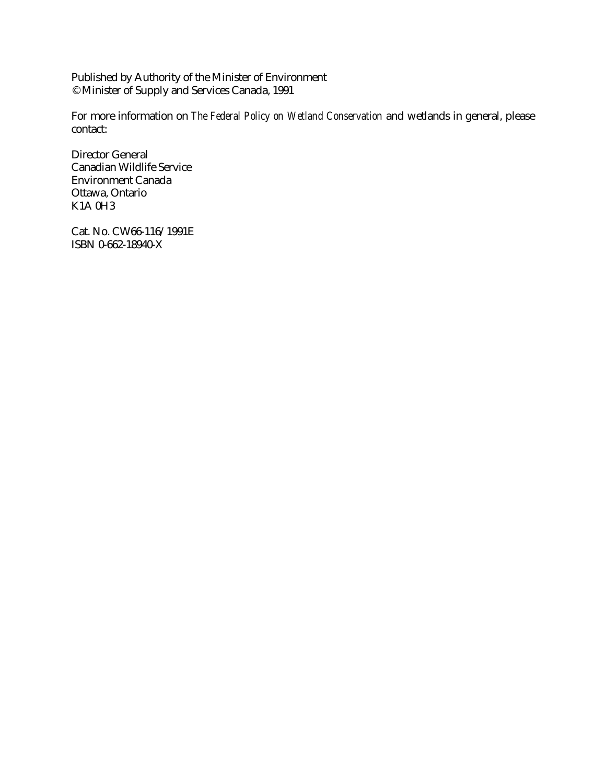Published by Authority of the Minister of Environment © Minister of Supply and Services Canada, 1991

For more information on *The Federal Policy on Wetland Conservation* and wetlands in general, please contact:

Director General Canadian Wildlife Service Environment Canada Ottawa, Ontario K1A 0H3

Cat. No. CW66-116/1991E ISBN 0-662-18940-X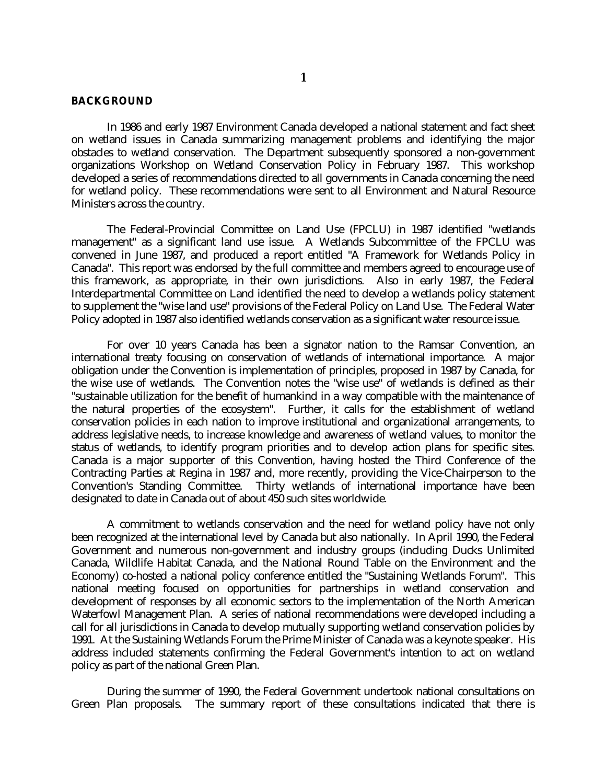#### **BACKGROUND**

In 1986 and early 1987 Environment Canada developed a national statement and fact sheet on wetland issues in Canada summarizing management problems and identifying the major obstacles to wetland conservation. The Department subsequently sponsored a non-government organizations Workshop on Wetland Conservation Policy in February 1987. This workshop developed a series of recommendations directed to all governments in Canada concerning the need for wetland policy. These recommendations were sent to all Environment and Natural Resource Ministers across the country.

The Federal-Provincial Committee on Land Use (FPCLU) in 1987 identified "wetlands management" as a significant land use issue. A Wetlands Subcommittee of the FPCLU was convened in June 1987, and produced a report entitled "A Framework for Wetlands Policy in Canada". This report was endorsed by the full committee and members agreed to encourage use of this framework, as appropriate, in their own jurisdictions. Also in early 1987, the Federal Interdepartmental Committee on Land identified the need to develop a wetlands policy statement to supplement the "wise land use" provisions of the Federal Policy on Land Use. The Federal Water Policy adopted in 1987 also identified wetlands conservation as a significant water resource issue.

For over 10 years Canada has been a signator nation to the Ramsar Convention, an international treaty focusing on conservation of wetlands of international importance. A major obligation under the Convention is implementation of principles, proposed in 1987 by Canada, for the wise use of wetlands. The Convention notes the "wise use" of wetlands is defined as their "sustainable utilization for the benefit of humankind in a way compatible with the maintenance of the natural properties of the ecosystem". Further, it calls for the establishment of wetland conservation policies in each nation to improve institutional and organizational arrangements, to address legislative needs, to increase knowledge and awareness of wetland values, to monitor the status of wetlands, to identify program priorities and to develop action plans for specific sites. Canada is a major supporter of this Convention, having hosted the Third Conference of the Contracting Parties at Regina in 1987 and, more recently, providing the Vice-Chairperson to the Convention's Standing Committee. Thirty wetlands of international importance have been designated to date in Canada out of about 450 such sites worldwide.

A commitment to wetlands conservation and the need for wetland policy have not only been recognized at the international level by Canada but also nationally. In April 1990, the Federal Government and numerous non-government and industry groups (including Ducks Unlimited Canada, Wildlife Habitat Canada, and the National Round Table on the Environment and the Economy) co-hosted a national policy conference entitled the "Sustaining Wetlands Forum". This national meeting focused on opportunities for partnerships in wetland conservation and development of responses by all economic sectors to the implementation of the North American Waterfowl Management Plan. A series of national recommendations were developed including a call for all jurisdictions in Canada to develop mutually supporting wetland conservation policies by 1991. At the Sustaining Wetlands Forum the Prime Minister of Canada was a keynote speaker. His address included statements confirming the Federal Government's intention to act on wetland policy as part of the national Green Plan.

During the summer of 1990, the Federal Government undertook national consultations on Green Plan proposals. The summary report of these consultations indicated that there is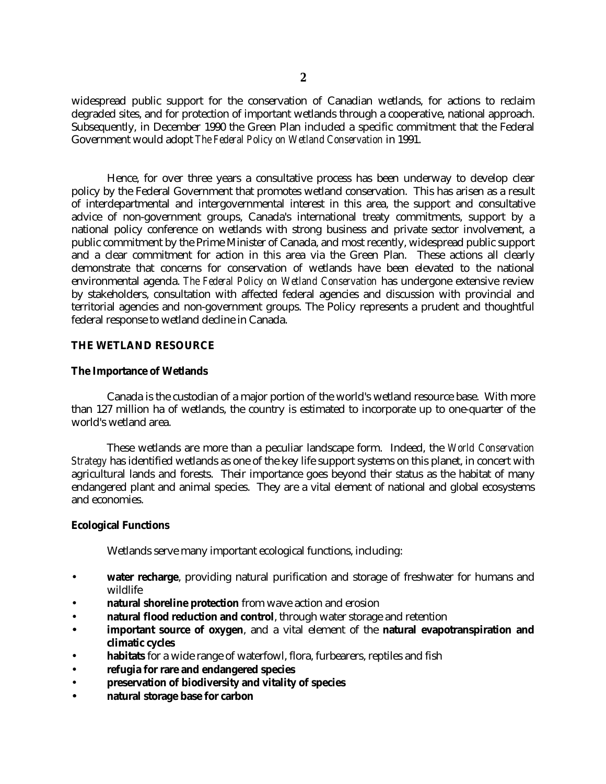widespread public support for the conservation of Canadian wetlands, for actions to reclaim degraded sites, and for protection of important wetlands through a cooperative, national approach. Subsequently, in December 1990 the Green Plan included a specific commitment that the Federal Government would adopt *The Federal Policy on Wetland Conservation* in 1991.

Hence, for over three years a consultative process has been underway to develop clear policy by the Federal Government that promotes wetland conservation. This has arisen as a result of interdepartmental and intergovernmental interest in this area, the support and consultative advice of non-government groups, Canada's international treaty commitments, support by a national policy conference on wetlands with strong business and private sector involvement, a public commitment by the Prime Minister of Canada, and most recently, widespread public support and a clear commitment for action in this area via the Green Plan. These actions all clearly demonstrate that concerns for conservation of wetlands have been elevated to the national environmental agenda. *The Federal Policy on Wetland Conservation* has undergone extensive review by stakeholders, consultation with affected federal agencies and discussion with provincial and territorial agencies and non-government groups. The Policy represents a prudent and thoughtful federal response to wetland decline in Canada.

## **THE WETLAND RESOURCE**

#### **The Importance of Wetlands**

Canada is the custodian of a major portion of the world's wetland resource base. With more than 127 million ha of wetlands, the country is estimated to incorporate up to one-quarter of the world's wetland area.

These wetlands are more than a peculiar landscape form. Indeed, the *World Conservation Strategy* has identified wetlands as one of the key life support systems on this planet, in concert with agricultural lands and forests. Their importance goes beyond their status as the habitat of many endangered plant and animal species. They are a vital element of national and global ecosystems and economies.

#### **Ecological Functions**

Wetlands serve many important ecological functions, including:

- **water recharge**, providing natural purification and storage of freshwater for humans and wildlife
- **natural shoreline protection** from wave action and erosion
- **natural flood reduction and control**, through water storage and retention
- **important source of oxygen**, and a vital element of the **natural evapotranspiration and climatic cycles**
- **habitats** for a wide range of waterfowl, flora, furbearers, reptiles and fish
- **refugia for rare and endangered species**
- **preservation of biodiversity and vitality of species**
- **natural storage base for carbon**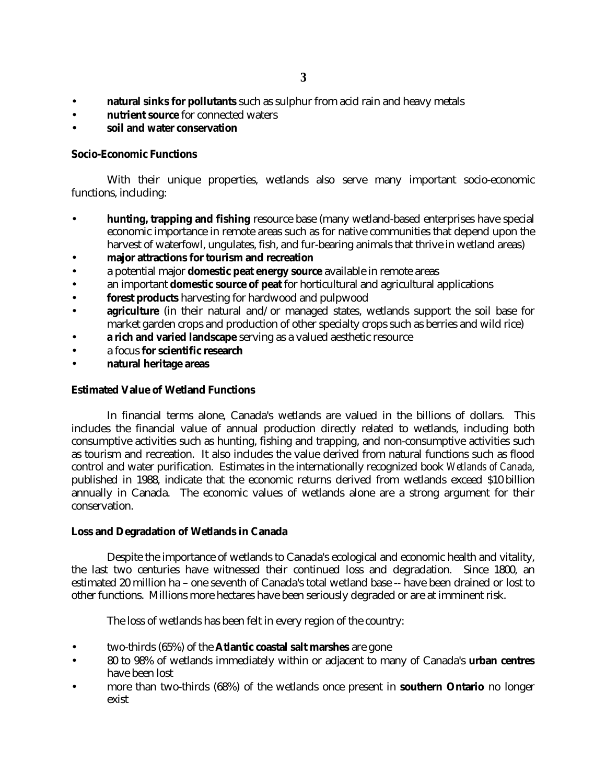- **<b>natural sinks for pollutants** such as sulphur from acid rain and heavy metals
- **nutrient source** for connected waters
- **soil and water conservation**

## **Socio-Economic Functions**

With their unique properties, wetlands also serve many important socio-economic functions, including:

- **hunting, trapping and fishing** resource base (many wetland-based enterprises have special economic importance in remote areas such as for native communities that depend upon the harvest of waterfowl, ungulates, fish, and fur-bearing animals that thrive in wetland areas)
- **major attractions for tourism and recreation**
- a potential major **domestic peat energy source** available in remote areas
- an important **domestic source of peat** for horticultural and agricultural applications
- **forest products** harvesting for hardwood and pulpwood
- **agriculture** (in their natural and/or managed states, wetlands support the soil base for market garden crops and production of other specialty crops such as berries and wild rice)
- **a rich and varied landscape** serving as a valued aesthetic resource
- a focus **for scientific research**
- **natural heritage areas**

## **Estimated Value of Wetland Functions**

In financial terms alone, Canada's wetlands are valued in the billions of dollars. This includes the financial value of annual production directly related to wetlands, including both consumptive activities such as hunting, fishing and trapping, and non-consumptive activities such as tourism and recreation. It also includes the value derived from natural functions such as flood control and water purification. Estimates in the internationally recognized book *Wetlands of Canada*, published in 1988, indicate that the economic returns derived from wetlands exceed \$10 billion annually in Canada. The economic values of wetlands alone are a strong argument for their conservation.

## **Loss and Degradation of Wetlands in Canada**

Despite the importance of wetlands to Canada's ecological and economic health and vitality, the last two centuries have witnessed their continued loss and degradation. Since 1800, an estimated 20 million ha – one seventh of Canada's total wetland base -- have been drained or lost to other functions. Millions more hectares have been seriously degraded or are at imminent risk.

The loss of wetlands has been felt in every region of the country:

- two-thirds (65%) of the **Atlantic coastal salt marshes** are gone
- 80 to 98% of wetlands immediately within or adjacent to many of Canada's **urban centres** have been lost
- more than two-thirds (68%) of the wetlands once present in **southern Ontario** no longer exist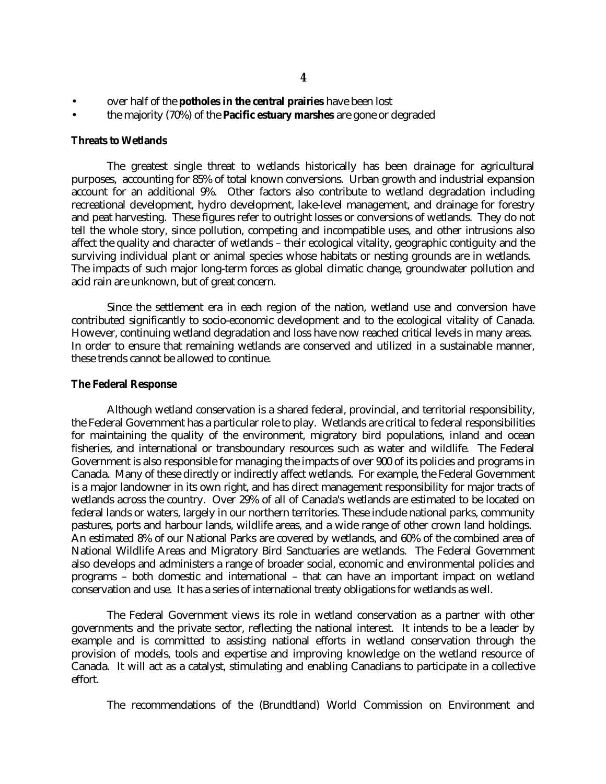- over half of the **potholes in the central prairies** have been lost
- the majority (70%) of the **Pacific estuary marshes** are gone or degraded

#### **Threats to Wetlands**

The greatest single threat to wetlands historically has been drainage for agricultural purposes, accounting for 85% of total known conversions. Urban growth and industrial expansion account for an additional 9%. Other factors also contribute to wetland degradation including recreational development, hydro development, lake-level management, and drainage for forestry and peat harvesting. These figures refer to outright losses or conversions of wetlands. They do not tell the whole story, since pollution, competing and incompatible uses, and other intrusions also affect the quality and character of wetlands – their ecological vitality, geographic contiguity and the surviving individual plant or animal species whose habitats or nesting grounds are in wetlands. The impacts of such major long-term forces as global climatic change, groundwater pollution and acid rain are unknown, but of great concern.

Since the settlement era in each region of the nation, wetland use and conversion have contributed significantly to socio-economic development and to the ecological vitality of Canada. However, continuing wetland degradation and loss have now reached critical levels in many areas. In order to ensure that remaining wetlands are conserved and utilized in a sustainable manner, these trends cannot be allowed to continue.

#### **The Federal Response**

Although wetland conservation is a shared federal, provincial, and territorial responsibility, the Federal Government has a particular role to play. Wetlands are critical to federal responsibilities for maintaining the quality of the environment, migratory bird populations, inland and ocean fisheries, and international or transboundary resources such as water and wildlife. The Federal Government is also responsible for managing the impacts of over 900 of its policies and programs in Canada. Many of these directly or indirectly affect wetlands. For example, the Federal Government is a major landowner in its own right, and has direct management responsibility for major tracts of wetlands across the country. Over 29% of all of Canada's wetlands are estimated to be located on federal lands or waters, largely in our northern territories. These include national parks, community pastures, ports and harbour lands, wildlife areas, and a wide range of other crown land holdings. An estimated 8% of our National Parks are covered by wetlands, and 60% of the combined area of National Wildlife Areas and Migratory Bird Sanctuaries are wetlands. The Federal Government also develops and administers a range of broader social, economic and environmental policies and programs – both domestic and international – that can have an important impact on wetland conservation and use. It has a series of international treaty obligations for wetlands as well.

The Federal Government views its role in wetland conservation as a partner with other governments and the private sector, reflecting the national interest. It intends to be a leader by example and is committed to assisting national efforts in wetland conservation through the provision of models, tools and expertise and improving knowledge on the wetland resource of Canada. It will act as a catalyst, stimulating and enabling Canadians to participate in a collective effort.

The recommendations of the (Brundtland) World Commission on Environment and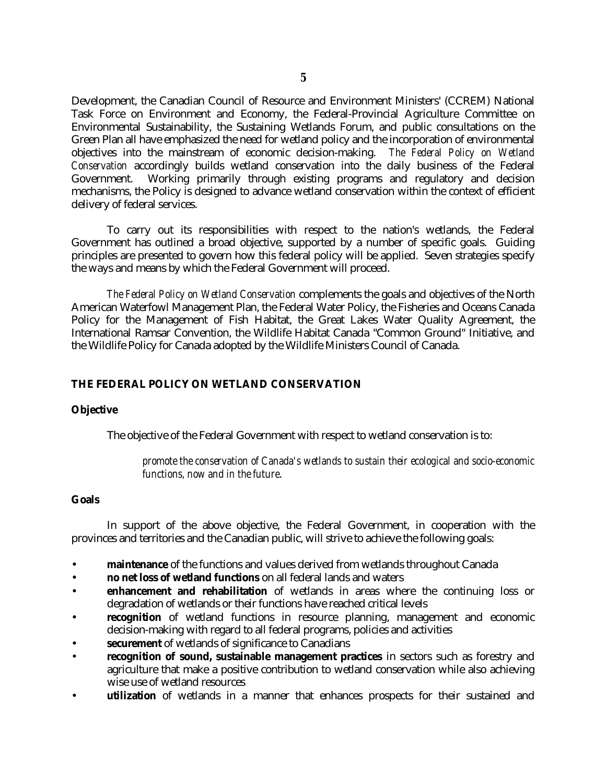Development, the Canadian Council of Resource and Environment Ministers' (CCREM) National Task Force on Environment and Economy, the Federal-Provincial Agriculture Committee on Environmental Sustainability, the Sustaining Wetlands Forum, and public consultations on the Green Plan all have emphasized the need for wetland policy and the incorporation of environmental objectives into the mainstream of economic decision-making. *The Federal Policy on Wetland Conservation* accordingly builds wetland conservation into the daily business of the Federal Government. Working primarily through existing programs and regulatory and decision mechanisms, the Policy is designed to advance wetland conservation within the context of efficient delivery of federal services.

To carry out its responsibilities with respect to the nation's wetlands, the Federal Government has outlined a broad objective, supported by a number of specific goals. Guiding principles are presented to govern how this federal policy will be applied. Seven strategies specify the ways and means by which the Federal Government will proceed.

*The Federal Policy on Wetland Conservation* complements the goals and objectives of the North American Waterfowl Management Plan, the Federal Water Policy, the Fisheries and Oceans Canada Policy for the Management of Fish Habitat, the Great Lakes Water Quality Agreement, the International Ramsar Convention, the Wildlife Habitat Canada "Common Ground" Initiative, and the Wildlife Policy for Canada adopted by the Wildlife Ministers Council of Canada.

## **THE FEDERAL POLICY ON WETLAND CONSERVATION**

### **Objective**

The objective of the Federal Government with respect to wetland conservation is to:

*promote the conservation of Canada's wetlands to sustain their ecological and socio-economic functions, now and in the future*.

#### **Goals**

In support of the above objective, the Federal Government, in cooperation with the provinces and territories and the Canadian public, will strive to achieve the following goals:

- **maintenance** of the functions and values derived from wetlands throughout Canada
- **no net loss of wetland functions** on all federal lands and waters
- **enhancement and rehabilitation** of wetlands in areas where the continuing loss or degradation of wetlands or their functions have reached critical levels
- **recognition** of wetland functions in resource planning, management and economic decision-making with regard to all federal programs, policies and activities
- **securement** of wetlands of significance to Canadians
- **recognition of sound, sustainable management practices** in sectors such as forestry and agriculture that make a positive contribution to wetland conservation while also achieving wise use of wetland resources
- utilization of wetlands in a manner that enhances prospects for their sustained and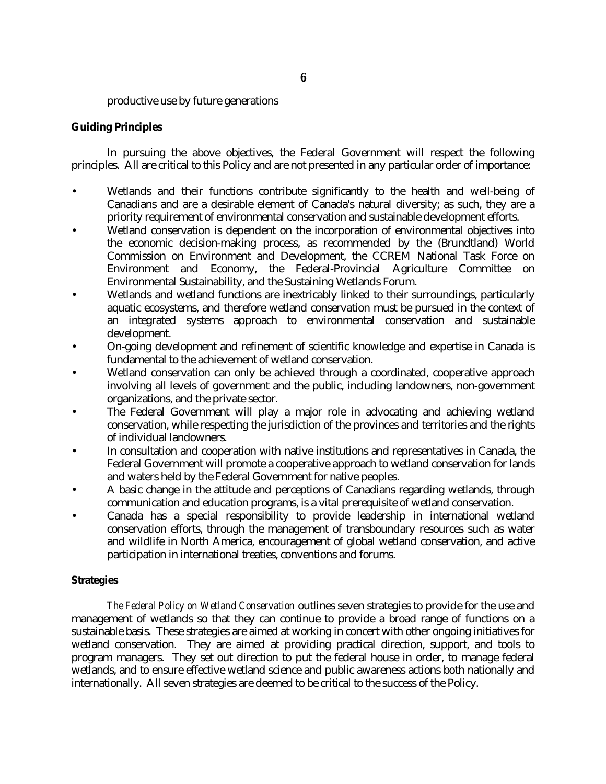productive use by future generations

## **Guiding Principles**

In pursuing the above objectives, the Federal Government will respect the following principles. All are critical to this Policy and are not presented in any particular order of importance:

- Wetlands and their functions contribute significantly to the health and well-being of Canadians and are a desirable element of Canada's natural diversity; as such, they are a priority requirement of environmental conservation and sustainable development efforts.
- Wetland conservation is dependent on the incorporation of environmental objectives into the economic decision-making process, as recommended by the (Brundtland) World Commission on Environment and Development, the CCREM National Task Force on Environment and Economy, the Federal-Provincial Agriculture Committee on Environmental Sustainability, and the Sustaining Wetlands Forum.
- Wetlands and wetland functions are inextricably linked to their surroundings, particularly aquatic ecosystems, and therefore wetland conservation must be pursued in the context of an integrated systems approach to environmental conservation and sustainable development.
- On-going development and refinement of scientific knowledge and expertise in Canada is fundamental to the achievement of wetland conservation.
- Wetland conservation can only be achieved through a coordinated, cooperative approach involving all levels of government and the public, including landowners, non-government organizations, and the private sector.
- The Federal Government will play a major role in advocating and achieving wetland conservation, while respecting the jurisdiction of the provinces and territories and the rights of individual landowners.
- In consultation and cooperation with native institutions and representatives in Canada, the Federal Government will promote a cooperative approach to wetland conservation for lands and waters held by the Federal Government for native peoples.
- A basic change in the attitude and perceptions of Canadians regarding wetlands, through communication and education programs, is a vital prerequisite of wetland conservation.
- Canada has a special responsibility to provide leadership in international wetland conservation efforts, through the management of transboundary resources such as water and wildlife in North America, encouragement of global wetland conservation, and active participation in international treaties, conventions and forums.

## **Strategies**

*The Federal Policy on Wetland Conservation* outlines seven strategies to provide for the use and management of wetlands so that they can continue to provide a broad range of functions on a sustainable basis. These strategies are aimed at working in concert with other ongoing initiatives for wetland conservation. They are aimed at providing practical direction, support, and tools to program managers. They set out direction to put the federal house in order, to manage federal wetlands, and to ensure effective wetland science and public awareness actions both nationally and internationally. All seven strategies are deemed to be critical to the success of the Policy.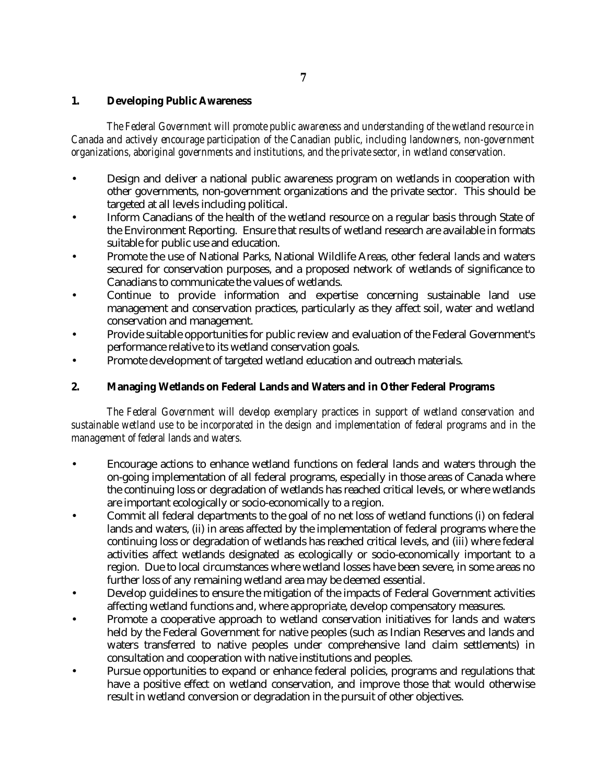## **1. Developing Public Awareness**

*The Federal Government will promote public awareness and understanding of the wetland resource in Canada and actively encourage participation of the Canadian public, including landowners, non-government organizations, aboriginal governments and institutions, and the private sector, in wetland conservation.*

- Design and deliver a national public awareness program on wetlands in cooperation with other governments, non-government organizations and the private sector. This should be targeted at all levels including political.
- Inform Canadians of the health of the wetland resource on a regular basis through State of the Environment Reporting. Ensure that results of wetland research are available in formats suitable for public use and education.
- Promote the use of National Parks, National Wildlife Areas, other federal lands and waters secured for conservation purposes, and a proposed network of wetlands of significance to Canadians to communicate the values of wetlands.
- Continue to provide information and expertise concerning sustainable land use management and conservation practices, particularly as they affect soil, water and wetland conservation and management.
- Provide suitable opportunities for public review and evaluation of the Federal Government's performance relative to its wetland conservation goals.
- Promote development of targeted wetland education and outreach materials.

# **2. Managing Wetlands on Federal Lands and Waters and in Other Federal Programs**

*The Federal Government will develop exemplary practices in support of wetland conservation and sustainable wetland use to be incorporated in the design and implementation of federal programs and in the management of federal lands and waters.*

- Encourage actions to enhance wetland functions on federal lands and waters through the on-going implementation of all federal programs, especially in those areas of Canada where the continuing loss or degradation of wetlands has reached critical levels, or where wetlands are important ecologically or socio-economically to a region.
- Commit all federal departments to the goal of no net loss of wetland functions (i) on federal lands and waters, (ii) in areas affected by the implementation of federal programs where the continuing loss or degradation of wetlands has reached critical levels, and (iii) where federal activities affect wetlands designated as ecologically or socio-economically important to a region. Due to local circumstances where wetland losses have been severe, in some areas no further loss of any remaining wetland area may be deemed essential.
- Develop guidelines to ensure the mitigation of the impacts of Federal Government activities affecting wetland functions and, where appropriate, develop compensatory measures.
- Promote a cooperative approach to wetland conservation initiatives for lands and waters held by the Federal Government for native peoples (such as Indian Reserves and lands and waters transferred to native peoples under comprehensive land claim settlements) in consultation and cooperation with native institutions and peoples.
- Pursue opportunities to expand or enhance federal policies, programs and regulations that have a positive effect on wetland conservation, and improve those that would otherwise result in wetland conversion or degradation in the pursuit of other objectives.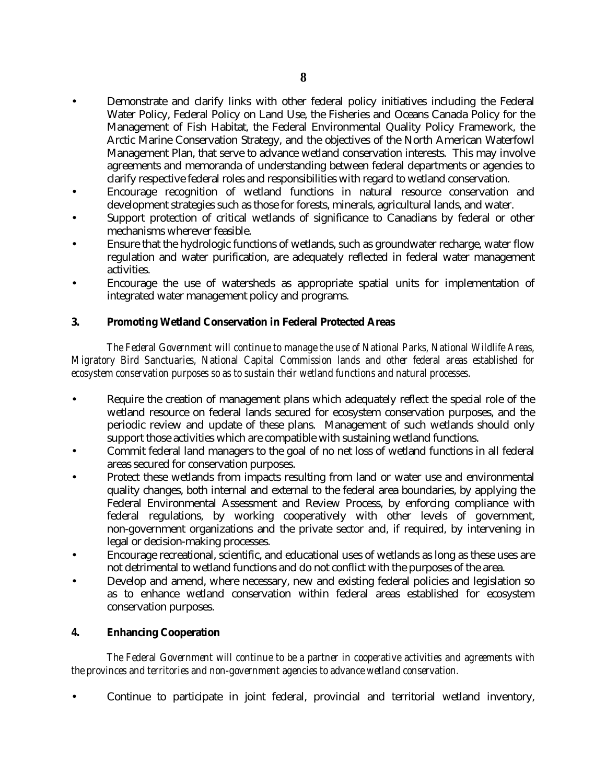- Demonstrate and clarify links with other federal policy initiatives including the Federal Water Policy, Federal Policy on Land Use, the Fisheries and Oceans Canada Policy for the Management of Fish Habitat, the Federal Environmental Quality Policy Framework, the Arctic Marine Conservation Strategy, and the objectives of the North American Waterfowl Management Plan, that serve to advance wetland conservation interests. This may involve agreements and memoranda of understanding between federal departments or agencies to clarify respective federal roles and responsibilities with regard to wetland conservation.
- Encourage recognition of wetland functions in natural resource conservation and development strategies such as those for forests, minerals, agricultural lands, and water.
- Support protection of critical wetlands of significance to Canadians by federal or other mechanisms wherever feasible.
- Ensure that the hydrologic functions of wetlands, such as groundwater recharge, water flow regulation and water purification, are adequately reflected in federal water management activities.
- Encourage the use of watersheds as appropriate spatial units for implementation of integrated water management policy and programs.

## **3. Promoting Wetland Conservation in Federal Protected Areas**

*The Federal Government will continue to manage the use of National Parks, National Wildlife Areas, Migratory Bird Sanctuaries, National Capital Commission lands and other federal areas established for ecosystem conservation purposes so as to sustain their wetland functions and natural processes.*

- Require the creation of management plans which adequately reflect the special role of the wetland resource on federal lands secured for ecosystem conservation purposes, and the periodic review and update of these plans. Management of such wetlands should only support those activities which are compatible with sustaining wetland functions.
- Commit federal land managers to the goal of no net loss of wetland functions in all federal areas secured for conservation purposes.
- Protect these wetlands from impacts resulting from land or water use and environmental quality changes, both internal and external to the federal area boundaries, by applying the Federal Environmental Assessment and Review Process, by enforcing compliance with federal regulations, by working cooperatively with other levels of government, non-government organizations and the private sector and, if required, by intervening in legal or decision-making processes.
- Encourage recreational, scientific, and educational uses of wetlands as long as these uses are not detrimental to wetland functions and do not conflict with the purposes of the area.
- Develop and amend, where necessary, new and existing federal policies and legislation so as to enhance wetland conservation within federal areas established for ecosystem conservation purposes.

## **4. Enhancing Cooperation**

*The Federal Government will continue to be a partner in cooperative activities and agreements with the provinces and territories and non-government agencies to advance wetland conservation.*

• Continue to participate in joint federal, provincial and territorial wetland inventory,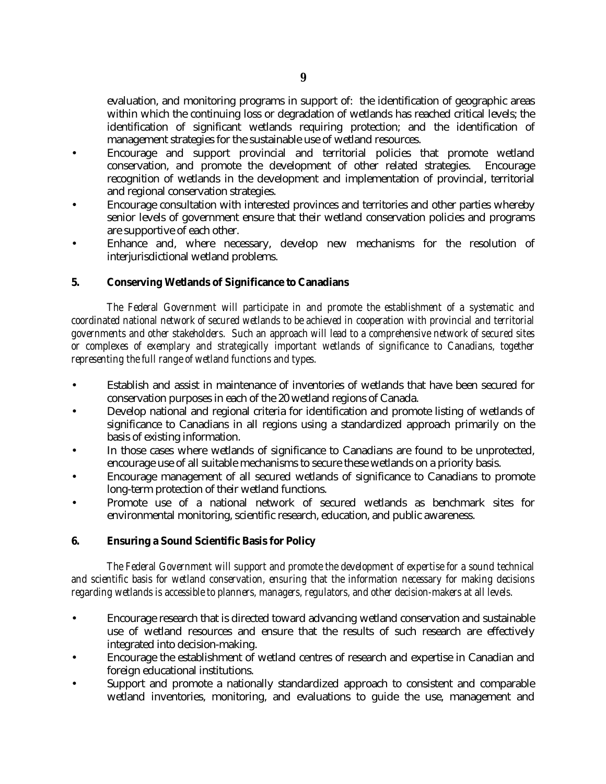evaluation, and monitoring programs in support of: the identification of geographic areas within which the continuing loss or degradation of wetlands has reached critical levels; the identification of significant wetlands requiring protection; and the identification of management strategies for the sustainable use of wetland resources.

- Encourage and support provincial and territorial policies that promote wetland conservation, and promote the development of other related strategies. Encourage recognition of wetlands in the development and implementation of provincial, territorial and regional conservation strategies.
- Encourage consultation with interested provinces and territories and other parties whereby senior levels of government ensure that their wetland conservation policies and programs are supportive of each other.
- Enhance and, where necessary, develop new mechanisms for the resolution of interjurisdictional wetland problems.

## **5. Conserving Wetlands of Significance to Canadians**

*The Federal Government will participate in and promote the establishment of a systematic and coordinated national network of secured wetlands to be achieved in cooperation with provincial and territorial governments and other stakeholders. Such an approach will lead to a comprehensive network of secured sites or complexes of exemplary and strategically important wetlands of significance to Canadians, together representing the full range of wetland functions and types.*

- Establish and assist in maintenance of inventories of wetlands that have been secured for conservation purposes in each of the 20 wetland regions of Canada.
- Develop national and regional criteria for identification and promote listing of wetlands of significance to Canadians in all regions using a standardized approach primarily on the basis of existing information.
- In those cases where wetlands of significance to Canadians are found to be unprotected, encourage use of all suitable mechanisms to secure these wetlands on a priority basis.
- Encourage management of all secured wetlands of significance to Canadians to promote long-term protection of their wetland functions.
- Promote use of a national network of secured wetlands as benchmark sites for environmental monitoring, scientific research, education, and public awareness.

## **6. Ensuring a Sound Scientific Basis for Policy**

*The Federal Government will support and promote the development of expertise for a sound technical and scientific basis for wetland conservation, ensuring that the information necessary for making decisions regarding wetlands is accessible to planners, managers, regulators, and other decision-makers at all levels.*

- Encourage research that is directed toward advancing wetland conservation and sustainable use of wetland resources and ensure that the results of such research are effectively integrated into decision-making.
- Encourage the establishment of wetland centres of research and expertise in Canadian and foreign educational institutions.
- Support and promote a nationally standardized approach to consistent and comparable wetland inventories, monitoring, and evaluations to guide the use, management and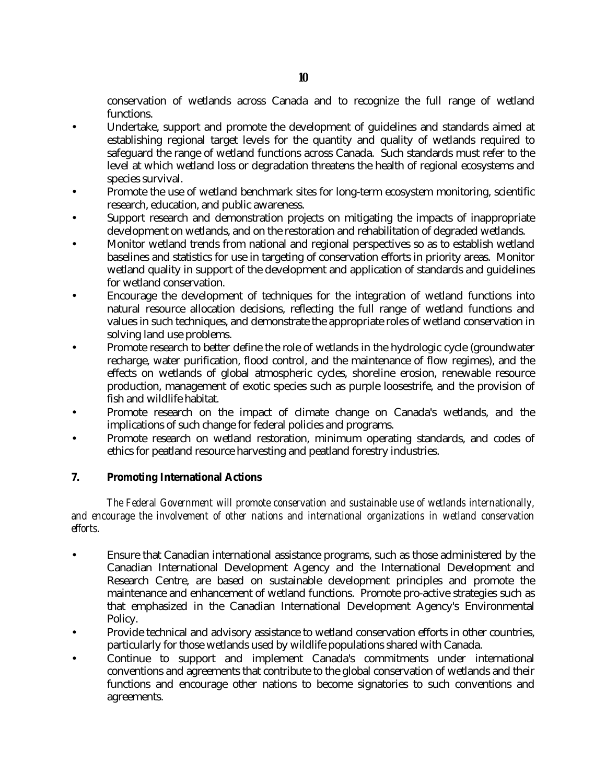conservation of wetlands across Canada and to recognize the full range of wetland functions.

- Undertake, support and promote the development of guidelines and standards aimed at establishing regional target levels for the quantity and quality of wetlands required to safeguard the range of wetland functions across Canada. Such standards must refer to the level at which wetland loss or degradation threatens the health of regional ecosystems and species survival.
- Promote the use of wetland benchmark sites for long-term ecosystem monitoring, scientific research, education, and public awareness.
- Support research and demonstration projects on mitigating the impacts of inappropriate development on wetlands, and on the restoration and rehabilitation of degraded wetlands.
- Monitor wetland trends from national and regional perspectives so as to establish wetland baselines and statistics for use in targeting of conservation efforts in priority areas. Monitor wetland quality in support of the development and application of standards and guidelines for wetland conservation.
- Encourage the development of techniques for the integration of wetland functions into natural resource allocation decisions, reflecting the full range of wetland functions and values in such techniques, and demonstrate the appropriate roles of wetland conservation in solving land use problems.
- Promote research to better define the role of wetlands in the hydrologic cycle (groundwater recharge, water purification, flood control, and the maintenance of flow regimes), and the effects on wetlands of global atmospheric cycles, shoreline erosion, renewable resource production, management of exotic species such as purple loosestrife, and the provision of fish and wildlife habitat.
- Promote research on the impact of climate change on Canada's wetlands, and the implications of such change for federal policies and programs.
- Promote research on wetland restoration, minimum operating standards, and codes of ethics for peatland resource harvesting and peatland forestry industries.

## **7. Promoting International Actions**

*The Federal Government will promote conservation and sustainable use of wetlands internationally, and encourage the involvement of other nations and international organizations in wetland conservation efforts.*

- Ensure that Canadian international assistance programs, such as those administered by the Canadian International Development Agency and the International Development and Research Centre, are based on sustainable development principles and promote the maintenance and enhancement of wetland functions. Promote pro-active strategies such as that emphasized in the Canadian International Development Agency's Environmental Policy.
- Provide technical and advisory assistance to wetland conservation efforts in other countries, particularly for those wetlands used by wildlife populations shared with Canada.
- Continue to support and implement Canada's commitments under international conventions and agreements that contribute to the global conservation of wetlands and their functions and encourage other nations to become signatories to such conventions and agreements.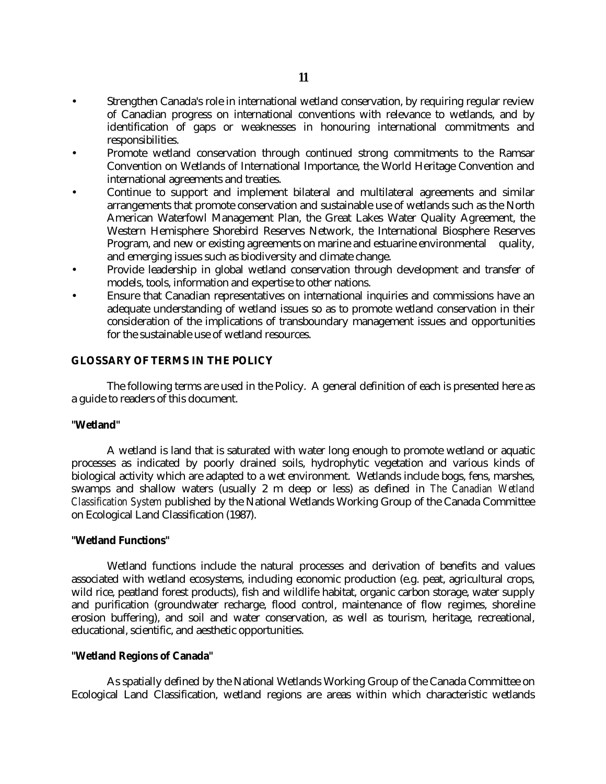- Strengthen Canada's role in international wetland conservation, by requiring regular review of Canadian progress on international conventions with relevance to wetlands, and by identification of gaps or weaknesses in honouring international commitments and responsibilities.
- Promote wetland conservation through continued strong commitments to the Ramsar Convention on Wetlands of International Importance, the World Heritage Convention and international agreements and treaties.
- Continue to support and implement bilateral and multilateral agreements and similar arrangements that promote conservation and sustainable use of wetlands such as the North American Waterfowl Management Plan, the Great Lakes Water Quality Agreement, the Western Hemisphere Shorebird Reserves Network, the International Biosphere Reserves Program, and new or existing agreements on marine and estuarine environmental quality, and emerging issues such as biodiversity and climate change.
- Provide leadership in global wetland conservation through development and transfer of models, tools, information and expertise to other nations.
- Ensure that Canadian representatives on international inquiries and commissions have an adequate understanding of wetland issues so as to promote wetland conservation in their consideration of the implications of transboundary management issues and opportunities for the sustainable use of wetland resources.

## **GLOSSARY OF TERMS IN THE POLICY**

The following terms are used in the Policy. A general definition of each is presented here as a guide to readers of this document.

## **"Wetland"**

A wetland is land that is saturated with water long enough to promote wetland or aquatic processes as indicated by poorly drained soils, hydrophytic vegetation and various kinds of biological activity which are adapted to a wet environment. Wetlands include bogs, fens, marshes, swamps and shallow waters (usually 2 m deep or less) as defined in *The Canadian Wetland Classification System* published by the National Wetlands Working Group of the Canada Committee on Ecological Land Classification (1987).

## **"Wetland Functions"**

Wetland functions include the natural processes and derivation of benefits and values associated with wetland ecosystems, including economic production (e.g. peat, agricultural crops, wild rice, peatland forest products), fish and wildlife habitat, organic carbon storage, water supply and purification (groundwater recharge, flood control, maintenance of flow regimes, shoreline erosion buffering), and soil and water conservation, as well as tourism, heritage, recreational, educational, scientific, and aesthetic opportunities.

## **"Wetland Regions of Canada"**

As spatially defined by the National Wetlands Working Group of the Canada Committee on Ecological Land Classification, wetland regions are areas within which characteristic wetlands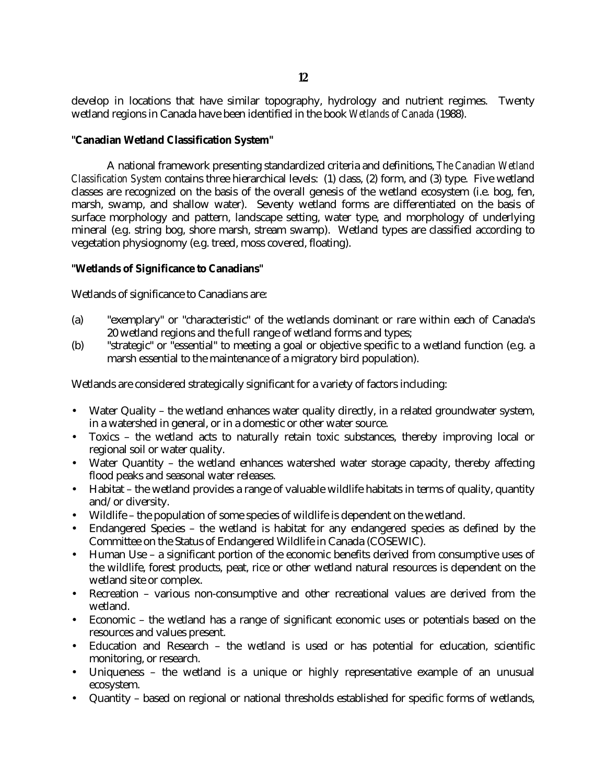develop in locations that have similar topography, hydrology and nutrient regimes. Twenty wetland regions in Canada have been identified in the book *Wetlands of Canada* (1988).

### **"Canadian Wetland Classification System"**

A national framework presenting standardized criteria and definitions, *The Canadian Wetland Classification System* contains three hierarchical levels: (1) class, (2) form, and (3) type. Five wetland classes are recognized on the basis of the overall genesis of the wetland ecosystem (i.e. bog, fen, marsh, swamp, and shallow water). Seventy wetland forms are differentiated on the basis of surface morphology and pattern, landscape setting, water type, and morphology of underlying mineral (e.g. string bog, shore marsh, stream swamp). Wetland types are classified according to vegetation physiognomy (e.g. treed, moss covered, floating).

## **"Wetlands of Significance to Canadians"**

Wetlands of significance to Canadians are:

- (a) "exemplary" or "characteristic" of the wetlands dominant or rare within each of Canada's 20 wetland regions and the full range of wetland forms and types;
- (b) "strategic" or "essential" to meeting a goal or objective specific to a wetland function (e.g. a marsh essential to the maintenance of a migratory bird population).

Wetlands are considered strategically significant for a variety of factors including:

- Water Quality the wetland enhances water quality directly, in a related groundwater system, in a watershed in general, or in a domestic or other water source.
- Toxics the wetland acts to naturally retain toxic substances, thereby improving local or regional soil or water quality.
- Water Quantity the wetland enhances watershed water storage capacity, thereby affecting flood peaks and seasonal water releases.
- Habitat the wetland provides a range of valuable wildlife habitats in terms of quality, quantity and/or diversity.
- Wildlife the population of some species of wildlife is dependent on the wetland.
- Endangered Species the wetland is habitat for any endangered species as defined by the Committee on the Status of Endangered Wildlife in Canada (COSEWIC).
- Human Use a significant portion of the economic benefits derived from consumptive uses of the wildlife, forest products, peat, rice or other wetland natural resources is dependent on the wetland site or complex.
- Recreation various non-consumptive and other recreational values are derived from the wetland.
- Economic the wetland has a range of significant economic uses or potentials based on the resources and values present.
- Education and Research the wetland is used or has potential for education, scientific monitoring, or research.
- Uniqueness the wetland is a unique or highly representative example of an unusual ecosystem.
- Quantity based on regional or national thresholds established for specific forms of wetlands,